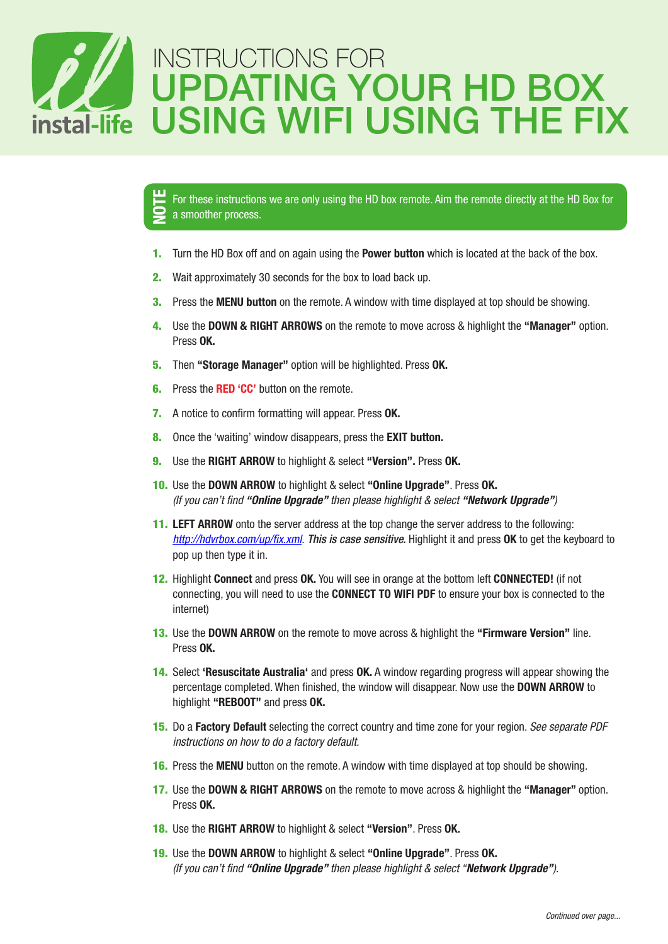

For these instructions we are only using the HD box remote. Aim the remote directly at the HD Box for a smoother process. NOTE

- 1. Turn the HD Box off and on again using the **Power button** which is located at the back of the box.
- 2. Wait approximately 30 seconds for the box to load back up.
- **3.** Press the **MENU button** on the remote. A window with time displayed at top should be showing.
- 4. Use the DOWN & RIGHT ARROWS on the remote to move across & highlight the "Manager" option. Press OK.
- 5. Then "Storage Manager" option will be highlighted. Press OK.
- **6.** Press the **RED 'CC'** button on the remote.
- 7. A notice to confirm formatting will appear. Press OK.
- 8. Once the 'waiting' window disappears, press the **EXIT button.**
- 9. Use the RIGHT ARROW to highlight & select "Version". Press OK.
- 10. Use the DOWN ARROW to highlight & select "Online Upgrade". Press OK. *(If you can't find "Online Upgrade" then please highlight & select "Network Upgrade")*
- 11. LEFT ARROW onto the server address at the top change the server address to the following: *http://hdvrbox.com/up/fix.xml. This is case sensitive.* Highlight it and press OK to get the keyboard to pop up then type it in.
- 12. Highlight Connect and press OK. You will see in orange at the bottom left CONNECTED! (if not connecting, you will need to use the CONNECT TO WIFI PDF to ensure your box is connected to the internet)
- 13. Use the DOWN ARROW on the remote to move across & highlight the "Firmware Version" line. Press OK.
- 14. Select 'Resuscitate Australia' and press OK. A window regarding progress will appear showing the percentage completed. When finished, the window will disappear. Now use the DOWN ARROW to highlight "REBOOT" and press OK.
- 15. Do a Factory Default selecting the correct country and time zone for your region. *See separate PDF instructions on how to do a factory default.*
- 16. Press the MENU button on the remote. A window with time displayed at top should be showing.
- 17. Use the DOWN & RIGHT ARROWS on the remote to move across & highlight the "Manager" option. Press OK.
- 18. Use the RIGHT ARROW to highlight & select "Version". Press OK.
- 19. Use the DOWN ARROW to highlight & select "Online Upgrade". Press OK. *(If you can't find "Online Upgrade" then please highlight & select "Network Upgrade").*